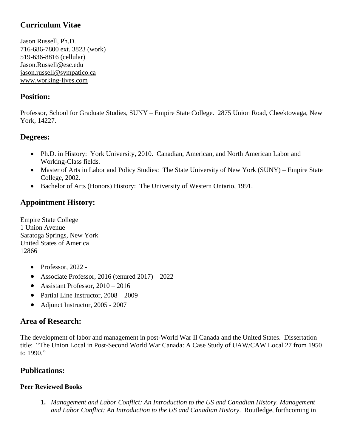# **Curriculum Vitae**

Jason Russell, Ph.D. 716-686-7800 ext. 3823 (work) 519-636-8816 (cellular) [Jason.Russell@esc.edu](mailto:Jason.Russell@esc.edu) [jason.russell@sympatico.ca](mailto:jason.russell@sympatico.ca) [www.working-lives.com](http://www.working-lives.com/)

## **Position:**

Professor, School for Graduate Studies, SUNY – Empire State College. 2875 Union Road, Cheektowaga, New York, 14227.

## **Degrees:**

- Ph.D. in History: York University, 2010. Canadian, American, and North American Labor and Working-Class fields.
- Master of Arts in Labor and Policy Studies: The State University of New York (SUNY) Empire State College, 2002.
- Bachelor of Arts (Honors) History: The University of Western Ontario, 1991.

# **Appointment History:**

Empire State College 1 Union Avenue Saratoga Springs, New York United States of America 12866

- Professor, 2022 -
- Associate Professor, 2016 (tenured 2017) 2022
- Assistant Professor, 2010 2016
- Partial Line Instructor,  $2008 2009$
- Adjunct Instructor, 2005 2007

### **Area of Research:**

The development of labor and management in post-World War II Canada and the United States. Dissertation title: "The Union Local in Post-Second World War Canada: A Case Study of UAW/CAW Local 27 from 1950 to 1990."

## **Publications:**

#### **Peer Reviewed Books**

**1.** *Management and Labor Conflict: An Introduction to the US and Canadian History. Management and Labor Conflict: An Introduction to the US and Canadian History*. Routledge, forthcoming in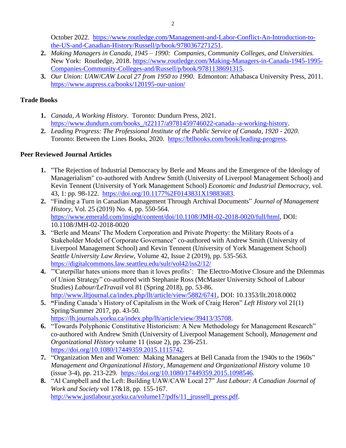October 2022. [https://www.routledge.com/Management-and-Labor-Conflict-An-Introduction-to](https://www.routledge.com/Management-and-Labor-Conflict-An-Introduction-to-the-US-and-Canadian-History/Russell/p/book/9780367271251)[the-US-and-Canadian-History/Russell/p/book/9780367271251.](https://www.routledge.com/Management-and-Labor-Conflict-An-Introduction-to-the-US-and-Canadian-History/Russell/p/book/9780367271251)

- **2.** *Making Managers in Canada, 1945 – 1990: Companies, Community Colleges, and Universities.*  New York: Routledge, 2018. [https://www.routledge.com/Making-Managers-in-Canada-1945-1995-](https://www.routledge.com/Making-Managers-in-Canada-1945-1995-Companies-Community-Colleges-and/Russell/p/book/9781138691315) [Companies-Community-Colleges-and/Russell/p/book/9781138691315.](https://www.routledge.com/Making-Managers-in-Canada-1945-1995-Companies-Community-Colleges-and/Russell/p/book/9781138691315)
- **3.** *Our Union: UAW/CAW Local 27 from 1950 to 1990*. Edmonton: Athabasca University Press, 2011. <https://www.aupress.ca/books/120195-our-union/>

### **Trade Books**

- **1.** *Canada, A Working History*. Toronto: Dundurn Press, 2021. [https://www.dundurn.com/books\\_/t22117/a9781459746022-canada--a-working-history.](https://www.dundurn.com/books_/t22117/a9781459746022-canada--a-working-history)
- **2.** *Leading Progress: The Professional Institute of the Public Service of Canada, 1920 - 2020*. Toronto: Between the Lines Books, 2020. [https://btlbooks.com/book/leading-progress.](https://btlbooks.com/book/leading-progress)

## **Peer Reviewed Journal Articles**

- **1.** "The Rejection of Industrial Democracy by Berle and Means and the Emergence of the Ideology of Managerialism" co-authored with Andrew Smith (University of Liverpool Management School) and Kevin Tennent (University of York Management School) *Economic and Industrial Democracy*, vol. 43, 1: pp. 98-122. [https://doi.org/10.1177%2F0143831X19883683.](https://doi.org/10.1177%2F0143831X19883683)
- **2.** "Finding a Turn in Canadian Management Through Archival Documents" *Journal of Management History*, Vol. 25 (2019) No. 4, pp. 550-564. [https://www.emerald.com/insight/content/doi/10.1108/JMH-02-2018-0020/full/html,](https://www.emerald.com/insight/content/doi/10.1108/JMH-02-2018-0020/full/html) DOI: 10.1108/JMH-02-2018-0020
- **3.** "Berle and Means' The Modern Corporation and Private Property: the Military Roots of a Stakeholder Model of Corporate Governance" co-authored with Andrew Smith (University of Liverpool Management School) and Kevin Tennent (University of York Management School) *Seattle University Law Review*, Volume 42, Issue 2 (2019), pp. 535-563. <https://digitalcommons.law.seattleu.edu/sulr/vol42/iss2/12/>
- **4.** "′Caterpillar hates unions more than it loves profits': The Electro-Motive Closure and the Dilemmas of Union Strategy" co-authored with Stephanie Ross (McMaster University School of Labour Studies) *Labour/LeTravail* vol 81 (Spring 2018), pp. 53-86. [http://www.lltjournal.ca/index.php/llt/article/view/5882/6741,](http://www.lltjournal.ca/index.php/llt/article/view/5882/6741) DOI: 10.1353/llt.2018.0002
- **5. "**Finding Canada's History of Capitalism in the Work of Craig Heron" *Left History* vol 21(1) Spring/Summer 2017, pp. 43-50*.*  [https://lh.journals.yorku.ca/index.php/lh/article/view/39413/35708.](https://lh.journals.yorku.ca/index.php/lh/article/view/39413/35708)
- **6.** "Towards Polyphonic Constitutive Historicism: A New Methodology for Management Research" co-authored with Andrew Smith (University of Liverpool Management School), *Management and Organizational History* volume 11 (issue 2), pp. 236-251. [https://doi.org/10.1080/17449359.2015.1115742.](https://doi.org/10.1080/17449359.2015.1115742)
- **7.** "Organization Men and Women: Making Managers at Bell Canada from the 1940s to the 1960s" *Management and Organizational History, Management and Organizational History* volume 10 (issue 3-4), pp. 213-229. [https://doi.org/10.1080/17449359.2015.1098546.](https://doi.org/10.1080/17449359.2015.1098546)
- **8.** "Al Campbell and the Left: Building UAW/CAW Local 27" *Just Labour: A Canadian Journal of Work and Society* vol 17&18, pp. 155-167. [http://www.justlabour.yorku.ca/volume17/pdfs/11\\_jrussell\\_press.pdf.](http://www.justlabour.yorku.ca/volume17/pdfs/11_jrussell_press.pdf)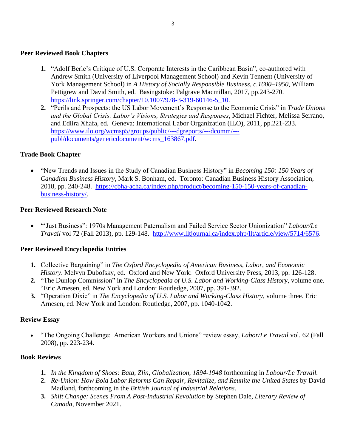#### **Peer Reviewed Book Chapters**

- **1.** "Adolf Berle's Critique of U.S. Corporate Interests in the Caribbean Basin", co-authored with Andrew Smith (University of Liverpool Management School) and Kevin Tennent (University of York Management School) in *A History of Socially Responsible Business, c.1600–1950*, William Pettigrew and David Smith, ed. Basingstoke: Palgrave Macmillan, 2017, pp.243-270. [https://link.springer.com/chapter/10.1007/978-3-319-60146-5\\_10.](https://link.springer.com/chapter/10.1007/978-3-319-60146-5_10)
- **2.** "Perils and Prospects: the US Labor Movement's Response to the Economic Crisis" in *Trade Unions and the Global Crisis: Labor's Visions, Strategies and Responses*, Michael Fichter, Melissa Serrano, and Edlira Xhafa, ed. Geneva: International Labor Organization (ILO), 2011, pp.221-233. [https://www.ilo.org/wcmsp5/groups/public/---dgreports/---dcomm/--](https://www.ilo.org/wcmsp5/groups/public/---dgreports/---dcomm/---publ/documents/genericdocument/wcms_163867.pdf) [publ/documents/genericdocument/wcms\\_163867.pdf.](https://www.ilo.org/wcmsp5/groups/public/---dgreports/---dcomm/---publ/documents/genericdocument/wcms_163867.pdf)

#### **Trade Book Chapter**

• "New Trends and Issues in the Study of Canadian Business History" in *Becoming 150: 150 Years of Canadian Business History*, Mark S. Bonham, ed. Toronto: Canadian Business History Association, 2018, pp. 240-248. [https://cbha-acha.ca/index.php/product/becoming-150-150-years-of-canadian](https://cbha-acha.ca/index.php/product/becoming-150-150-years-of-canadian-business-history/)[business-history/.](https://cbha-acha.ca/index.php/product/becoming-150-150-years-of-canadian-business-history/)

#### **Peer Reviewed Research Note**

• "'Just Business": 1970s Management Paternalism and Failed Service Sector Unionization" *Labour/Le Travail* vol 72 (Fall 2013), pp. 129-148. [http://www.lltjournal.ca/index.php/llt/article/view/5714/6576.](http://www.lltjournal.ca/index.php/llt/article/view/5714/6576)

#### **Peer Reviewed Encyclopedia Entries**

- **1.** Collective Bargaining" in *The Oxford Encyclopedia of American Business, Labor, and Economic History*. Melvyn Dubofsky, ed. Oxford and New York: Oxford University Press, 2013, pp. 126-128.
- **2.** "The Dunlop Commission" in *The Encyclopedia of U.S. Labor and Working-Class History*, volume one. "Eric Arnesen, ed. New York and London: Routledge, 2007, pp. 391-392.
- **3.** "Operation Dixie" in *The Encyclopedia of U.S. Labor and Working-Class History*, volume three. Eric Arnesen, ed. New York and London: Routledge, 2007, pp. 1040-1042.

#### **Review Essay**

• "The Ongoing Challenge: American Workers and Unions" review essay, *Labor/Le Travail* vol. 62 (Fall 2008), pp. 223-234.

#### **Book Reviews**

- **1.** *In the Kingdom of Shoes: Bata, Zlin, Globalization, 1894-1948* forthcoming in *Labour/Le Travail.*
- **2.** *Re-Union: How Bold Labor Reforms Can Repair, Revitalize, and Reunite the United States* by David Madland, forthcoming in the *British Journal of Industrial Relations*.
- **3.** *Shift Change: Scenes From A Post-Industrial Revolution* by Stephen Dale, *Literary Review of Canada*, November 2021.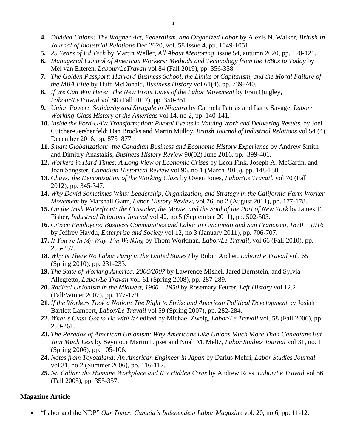- **4.** *Divided Unions: The Wagner Act, Federalism, and Organized Labor* by Alexis N. Walker, *British In Journal of Industrial Relations* Dec 2020, vol. 58 Issue 4, pp. 1049-1051.
- **5.** *25 Years of Ed Tech* by Martin Weller, *All About Mentoring*, issue 54, autumn 2020, pp. 120-121.
- **6.** *Managerial Control of American Workers: Methods and Technology from the 1880s to Today* by Mel van Elteren, *Labour/LeTravail* vol 84 (Fall 2019), pp. 356-358.
- **7.** *The Golden Passport: Harvard Business School, the Limits of Capitalism, and the Moral Failure of the MBA Elite* by Duff McDonald, *Business History* vol 61(4), pp. 739-740.
- **8.** *If We Can Win Here: The New Front Lines of the Labor Movement* by Fran Quigley, *Labour/LeTravail* vol 80 (Fall 2017), pp. 350-351*.*
- **9.** *Union Power: Solidarity and Struggle in Niagara* by Carmela Patrias and Larry Savage, *Labor: Working-Class History of the Americas* vol 14, no 2, pp. 140-141*.*
- **10.** *Inside the Ford-UAW Transformation: Pivotal Events in Valuing Work and Delivering Results,* by Joel Cutcher-Gershenfeld; Dan Brooks and Martin Mulloy, *British Journal of Industrial Relations* vol 54 (4) December 2016, pp. 875–877.
- **11.** *Smart Globalization: the Canadian Business and Economic History Experience* by Andrew Smith and Dimitry Anastakis, *Business History Review* 90(02) June 2016, pp. 399-401.
- **12.** *Workers in Hard Times: A Long View of Economic Crises* by Leon Fink, Joseph A. McCartin, and Joan Sangster, *Canadian Historical Review* vol 96, no 1 (March 2015), pp. 148-150.
- **13.** *Chavs: the Demonization of the Working Class* by Owen Jones, *Labor/Le Travail,* vol 70 (Fall 2012), pp. 345-347.
- **14.** *Why David Sometimes Wins: Leadership, Organization, and Strategy in the California Farm Worker Movement* by Marshall Ganz, *Labor History Review,* vol 76, no 2 (August 2011), pp. 177-178*.*
- **15.** *On the Irish Waterfront: the Crusader, the Movie, and the Soul of the Port of New York* by James T. Fisher, *Industrial Relations Journal* vol 42, no 5 (September 2011), pp. 502-503*.*
- **16.** *Citizen Employers: Business Communities and Labor in Cincinnati and San Francisco, 1870 – 1916*  by Jeffrey Haydu, *Enterprise and Society* vol 12, no 3 (January 2011), pp. 706-707.
- **17.** *If You're In My Way, I'm Walking* by Thom Workman, *Labor/Le Travail,* vol 66 (Fall 2010), pp. 255-257.
- **18.** *Why Is There No Labor Party in the United States?* by Robin Archer, *Labor/Le Travail* vol. 65 (Spring 2010), pp. 231-233.
- **19.** *The State of Working America, 2006/2007* by Lawrence Mishel, Jared Bernstein, and Sylvia Allegretto, *Labor/Le Travail* vol. 61 (Spring 2008), pp. 287-289.
- **20.** *Radical Unionism in the Midwest, 1900 – 1950* by Rosemary Feurer*, Left History* vol 12.2 (Fall/Winter 2007), pp. 177-179.
- **21.** *If the Workers Took a Notion: The Right to Strike and American Political Development* by Josiah Bartlett Lambert, *Labor/Le Travail* vol 59 (Spring 2007), pp. 282-284.
- **22.** *What's Class Got to Do with It?* edited by Michael Zweig, *Labor/Le Travail* vol. 58 (Fall 2006), pp. 259-261.
- **23.** *The Paradox of American Unionism: Why Americans Like Unions Much More Than Canadians But Join Much Less* by Seymour Martin Lipset and Noah M. Meltz, *Labor Studies Journal* vol 31, no. 1 (Spring 2006), pp. 105-106.
- **24.** *Notes from Toyotaland: An American Engineer in Japan* by Darius Mehri, *Labor Studies Journal* vol 31, no 2 (Summer 2006), pp. 116-117.
- **25.** *No Collar: the Humane Workplace and It's Hidden Costs* by Andrew Ross*, Labor/Le Travail* vol 56 (Fall 2005), pp. 355-357.

#### **Magazine Article**

• "Labor and the NDP" *Our Times: Canada's Independent Labor Magazine* vol. 20, no 6, pp. 11-12.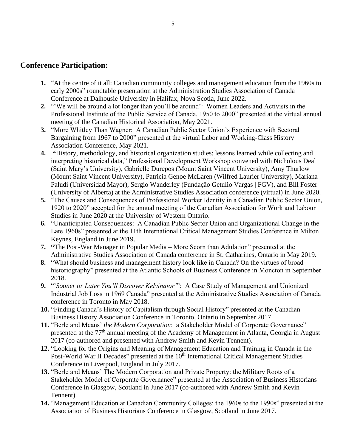### **Conference Participation:**

- **1.** "At the centre of it all: Canadian community colleges and management education from the 1960s to early 2000s" roundtable presentation at the Administration Studies Association of Canada Conference at Dalhousie University in Halifax, Nova Scotia, June 2022.
- **2.** "ʽWe will be around a lot longer than you'll be around': Women Leaders and Activists in the Professional Institute of the Public Service of Canada, 1950 to 2000" presented at the virtual annual meeting of the Canadian Historical Association, May 2021.
- **3.** "More Whitley Than Wagner: A Canadian Public Sector Union's Experience with Sectoral Bargaining from 1967 to 2000" presented at the virtual Labor and Working-Class History Association Conference, May 2021.
- **4. "**History, methodology, and historical organization studies: lessons learned while collecting and interpreting historical data," Professional Development Workshop convened with Nicholous Deal (Saint Mary's University), Gabrielle Durepos (Mount Saint Vincent University), Amy Thurlow (Mount Saint Vincent University), Patricia Genoe McLaren (Wilfred Laurier University), Mariana Paludi (Universidad Mayor), Sergio Wanderley (Fundação Getulio Vargas | FGV), and Bill Foster (University of Alberta) at the Administrative Studies Association conference (virtual) in June 2020.
- **5.** "The Causes and Consequences of Professional Worker Identity in a Canadian Public Sector Union, 1920 to 2020" accepted for the annual meeting of the Canadian Association for Work and Labour Studies in June 2020 at the University of Western Ontario.
- **6.** "Unanticipated Consequences: A Canadian Public Sector Union and Organizational Change in the Late 1960s" presented at the 11th International Critical Management Studies Conference in Milton Keynes, England in June 2019.
- **7. "**The Post-War Manager in Popular Media More Scorn than Adulation" presented at the Administrative Studies Association of Canada conference in St. Catharines, Ontario in May 2019.
- **8.** "What should business and management history look like in Canada? On the virtues of broad historiography" presented at the Atlantic Schools of Business Conference in Moncton in September 2018.
- **9.** "'*Sooner or Later You'll Discover Kelvinator'*": A Case Study of Management and Unionized Industrial Job Loss in 1969 Canada" presented at the Administrative Studies Association of Canada conference in Toronto in May 2018.
- **10.** "Finding Canada's History of Capitalism through Social History" presented at the Canadian Business History Association Conference in Toronto, Ontario in September 2017.
- **11.** "Berle and Means' *the Modern Corporation*: a Stakeholder Model of Corporate Governance" presented at the 77<sup>th</sup> annual meeting of the Academy of Management in Atlanta, Georgia in August 2017 (co-authored and presented with Andrew Smith and Kevin Tennent).
- **12.** "Looking for the Origins and Meaning of Management Education and Training in Canada in the Post-World War II Decades" presented at the 10<sup>th</sup> International Critical Management Studies Conference in Liverpool, England in July 2017.
- **13.** "Berle and Means' The Modern Corporation and Private Property: the Military Roots of a Stakeholder Model of Corporate Governance" presented at the Association of Business Historians Conference in Glasgow, Scotland in June 2017 (co-authored with Andrew Smith and Kevin Tennent).
- **14.** "Management Education at Canadian Community Colleges: the 1960s to the 1990s" presented at the Association of Business Historians Conference in Glasgow, Scotland in June 2017.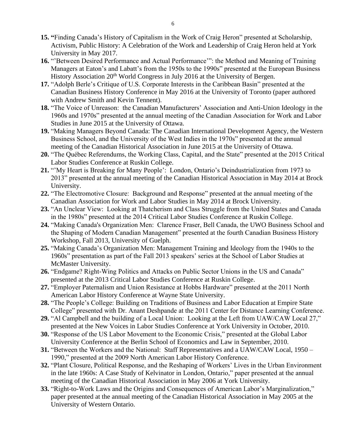- **15. "**Finding Canada's History of Capitalism in the Work of Craig Heron" presented at Scholarship, Activism, Public History: A Celebration of the Work and Leadership of Craig Heron held at York University in May 2017.
- **16.** "'Between Desired Performance and Actual Performance'": the Method and Meaning of Training Managers at Eaton's and Labatt's from the 1950s to the 1990s" presented at the European Business History Association 20<sup>th</sup> World Congress in July 2016 at the University of Bergen.
- **17.** "Adolph Berle's Critique of U.S. Corporate Interests in the Caribbean Basin" presented at the Canadian Business History Conference in May 2016 at the University of Toronto (paper authored with Andrew Smith and Kevin Tennent).
- **18.** "The Voice of Unreason: the Canadian Manufacturers' Association and Anti-Union Ideology in the 1960s and 1970s" presented at the annual meeting of the Canadian Association for Work and Labor Studies in June 2015 at the University of Ottawa.
- **19.** "Making Managers Beyond Canada: The Canadian International Development Agency, the Western Business School, and the University of the West Indies in the 1970s" presented at the annual meeting of the Canadian Historical Association in June 2015 at the University of Ottawa.
- **20.** "The Québec Referendums, the Working Class, Capital, and the State" presented at the 2015 Critical Labor Studies Conference at Ruskin College.
- **21.** "'My Heart is Breaking for Many People': London, Ontario's Deindustrialization from 1973 to 2013" presented at the annual meeting of the Canadian Historical Association in May 2014 at Brock University.
- **22.** "The Electromotive Closure: Background and Response" presented at the annual meeting of the Canadian Association for Work and Labor Studies in May 2014 at Brock University.
- **23.** "An Unclear View: Looking at Thatcherism and Class Struggle from the United States and Canada in the 1980s" presented at the 2014 Critical Labor Studies Conference at Ruskin College.
- **24.** "Making Canada's Organization Men: Clarence Fraser, Bell Canada, the UWO Business School and the Shaping of Modern Canadian Management" presented at the fourth Canadian Business History Workshop, Fall 2013, University of Guelph.
- **25.** "Making Canada's Organization Men: Management Training and Ideology from the 1940s to the 1960s" presentation as part of the Fall 2013 speakers' series at the School of Labor Studies at McMaster University.
- **26.** "Endgame? Right-Wing Politics and Attacks on Public Sector Unions in the US and Canada" presented at the 2013 Critical Labor Studies Conference at Ruskin College.
- **27.** "Employer Paternalism and Union Resistance at Hobbs Hardware" presented at the 2011 North American Labor History Conference at Wayne State University.
- **28.** "The People's College: Building on Traditions of Business and Labor Education at Empire State College" presented with Dr. Anant Deshpande at the 2011 Center for Distance Learning Conference.
- **29.** "Al Campbell and the building of a Local Union: Looking at the Left from UAW/CAW Local 27," presented at the New Voices in Labor Studies Conference at York University in October, 2010.
- **30.** "Response of the US Labor Movement to the Economic Crisis," presented at the Global Labor University Conference at the Berlin School of Economics and Law in September, 2010.
- **31.** "Between the Workers and the National: Staff Representatives and a UAW/CAW Local, 1950 1990," presented at the 2009 North American Labor History Conference.
- **32.** "Plant Closure, Political Response, and the Reshaping of Workers' Lives in the Urban Environment in the late 1960s: A Case Study of Kelvinator in London, Ontario," paper presented at the annual meeting of the Canadian Historical Association in May 2006 at York University.
- **33.** "Right-to-Work Laws and the Origins and Consequences of American Labor's Marginalization," paper presented at the annual meeting of the Canadian Historical Association in May 2005 at the University of Western Ontario.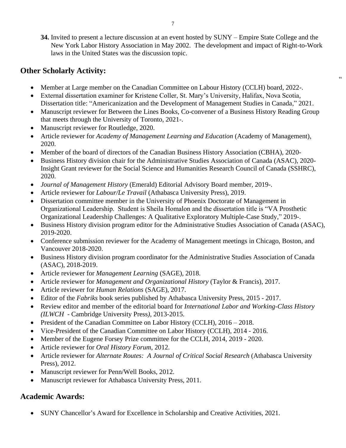**34.** Invited to present a lecture discussion at an event hosted by SUNY – Empire State College and the New York Labor History Association in May 2002. The development and impact of Right-to-Work laws in the United States was the discussion topic.

"

## **Other Scholarly Activity:**

- Member at Large member on the Canadian Committee on Labour History (CCLH) board, 2022-.
- External dissertation examiner for Kristene Coller, St. Mary's University, Halifax, Nova Scotia, Dissertation title: "Americanization and the Development of Management Studies in Canada," 2021.
- Manuscript reviewer for Between the Lines Books, Co-convener of a Business History Reading Group that meets through the University of Toronto, 2021-.
- Manuscript reviewer for Routledge, 2020.
- Article reviewer for *Academy of Management Learning and Education* (Academy of Management), 2020.
- Member of the board of directors of the Canadian Business History Association (CBHA), 2020-
- Business History division chair for the Administrative Studies Association of Canada (ASAC), 2020- Insight Grant reviewer for the Social Science and Humanities Research Council of Canada (SSHRC), 2020.
- *Journal of Management History* (Emerald) Editorial Advisory Board member, 2019-.
- Article reviewer for *Labour/Le Travail* (Athabasca University Press), 2019.
- Dissertation committee member in the University of Phoenix Doctorate of Management in Organizational Leadership. Student is Sheila Homalon and the dissertation title is "VA Prosthetic Organizational Leadership Challenges: A Qualitative Exploratory Multiple-Case Study," 2019-.
- Business History division program editor for the Administrative Studies Association of Canada (ASAC), 2019-2020.
- Conference submission reviewer for the Academy of Management meetings in Chicago, Boston, and Vancouver 2018-2020.
- Business History division program coordinator for the Administrative Studies Association of Canada (ASAC), 2018-2019.
- Article reviewer for *Management Learning* (SAGE), 2018.
- Article reviewer for *Management and Organizational History* (Taylor & Francis), 2017.
- Article reviewer for *Human Relations* (SAGE), 2017.
- Editor of the *Fabriks* book series published by Athabasca University Press, 2015 2017.
- Review editor and member of the editorial board for *International Labor and Working-Class History (ILWCH* - Cambridge University Press*)*, 2013-2015.
- President of the Canadian Committee on Labor History (CCLH), 2016 2018.
- Vice-President of the Canadian Committee on Labor History (CCLH), 2014 2016.
- Member of the Eugene Forsey Prize committee for the CCLH, 2014, 2019 2020.
- Article reviewer for *Oral History Forum*, 2012.
- Article reviewer for *Alternate Routes: A Journal of Critical Social Research* (Athabasca University Press), 2012.
- Manuscript reviewer for Penn/Well Books, 2012.
- Manuscript reviewer for Athabasca University Press, 2011.

## **Academic Awards:**

• SUNY Chancellor's Award for Excellence in Scholarship and Creative Activities, 2021.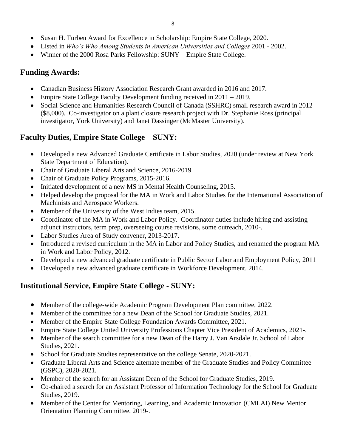- Susan H. Turben Award for Excellence in Scholarship: Empire State College, 2020.
- Listed in *Who's Who Among Students in American Universities and Colleges* 2001 2002.
- Winner of the 2000 Rosa Parks Fellowship: SUNY Empire State College.

# **Funding Awards:**

- Canadian Business History Association Research Grant awarded in 2016 and 2017.
- Empire State College Faculty Development funding received in 2011 2019.
- Social Science and Humanities Research Council of Canada (SSHRC) small research award in 2012 (\$8,000). Co-investigator on a plant closure research project with Dr. Stephanie Ross (principal investigator, York University) and Janet Dassinger (McMaster University).

# **Faculty Duties, Empire State College – SUNY:**

- Developed a new Advanced Graduate Certificate in Labor Studies, 2020 (under review at New York State Department of Education).
- Chair of Graduate Liberal Arts and Science, 2016-2019
- Chair of Graduate Policy Programs, 2015-2016.
- Initiated development of a new MS in Mental Health Counseling, 2015.
- Helped develop the proposal for the MA in Work and Labor Studies for the International Association of Machinists and Aerospace Workers.
- Member of the University of the West Indies team, 2015.
- Coordinator of the MA in Work and Labor Policy. Coordinator duties include hiring and assisting adjunct instructors, term prep, overseeing course revisions, some outreach, 2010-.
- Labor Studies Area of Study convener, 2013-2017.
- Introduced a revised curriculum in the MA in Labor and Policy Studies, and renamed the program MA in Work and Labor Policy, 2012.
- Developed a new advanced graduate certificate in Public Sector Labor and Employment Policy, 2011
- Developed a new advanced graduate certificate in Workforce Development. 2014.

# **Institutional Service, Empire State College - SUNY:**

- Member of the college-wide Academic Program Development Plan committee, 2022.
- Member of the committee for a new Dean of the School for Graduate Studies, 2021.
- Member of the Empire State College Foundation Awards Committee, 2021.
- Empire State College United University Professions Chapter Vice President of Academics, 2021-.
- Member of the search committee for a new Dean of the Harry J. Van Arsdale Jr. School of Labor Studies, 2021.
- School for Graduate Studies representative on the college Senate, 2020-2021.
- Graduate Liberal Arts and Science alternate member of the Graduate Studies and Policy Committee (GSPC), 2020-2021.
- Member of the search for an Assistant Dean of the School for Graduate Studies, 2019.
- Co-chaired a search for an Assistant Professor of Information Technology for the School for Graduate Studies, 2019.
- Member of the Center for Mentoring, Learning, and Academic Innovation (CMLAI) New Mentor Orientation Planning Committee, 2019-.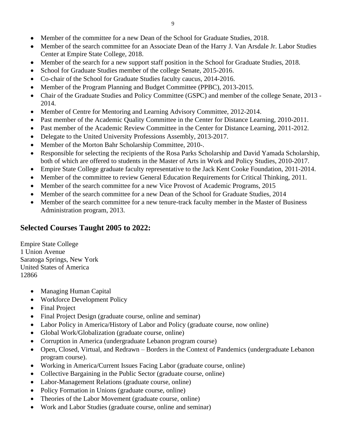- Member of the committee for a new Dean of the School for Graduate Studies, 2018.
- Member of the search committee for an Associate Dean of the Harry J. Van Arsdale Jr. Labor Studies Center at Empire State College, 2018.
- Member of the search for a new support staff position in the School for Graduate Studies, 2018.
- School for Graduate Studies member of the college Senate, 2015-2016.
- Co-chair of the School for Graduate Studies faculty caucus, 2014-2016.
- Member of the Program Planning and Budget Committee (PPBC), 2013-2015.
- Chair of the Graduate Studies and Policy Committee (GSPC) and member of the college Senate, 2013 2014.
- Member of Centre for Mentoring and Learning Advisory Committee, 2012-2014.
- Past member of the Academic Quality Committee in the Center for Distance Learning, 2010-2011.
- Past member of the Academic Review Committee in the Center for Distance Learning, 2011-2012.
- Delegate to the United University Professions Assembly, 2013-2017.
- Member of the Morton Bahr Scholarship Committee, 2010-.
- Responsible for selecting the recipients of the Rosa Parks Scholarship and David Yamada Scholarship, both of which are offered to students in the Master of Arts in Work and Policy Studies, 2010-2017.
- Empire State College graduate faculty representative to the Jack Kent Cooke Foundation, 2011-2014.
- Member of the committee to review General Education Requirements for Critical Thinking, 2011.
- Member of the search committee for a new Vice Provost of Academic Programs, 2015
- Member of the search committee for a new Dean of the School for Graduate Studies, 2014
- Member of the search committee for a new tenure-track faculty member in the Master of Business Administration program, 2013.

# **Selected Courses Taught 2005 to 2022:**

Empire State College 1 Union Avenue Saratoga Springs, New York United States of America 12866

- Managing Human Capital
- Workforce Development Policy
- Final Project
- Final Project Design (graduate course, online and seminar)
- Labor Policy in America/History of Labor and Policy (graduate course, now online)
- Global Work/Globalization (graduate course, online)
- Corruption in America (undergraduate Lebanon program course)
- Open, Closed, Virtual, and Redrawn Borders in the Context of Pandemics (undergraduate Lebanon program course).
- Working in America/Current Issues Facing Labor (graduate course, online)
- Collective Bargaining in the Public Sector (graduate course, online)
- Labor-Management Relations (graduate course, online)
- Policy Formation in Unions (graduate course, online)
- Theories of the Labor Movement (graduate course, online)
- Work and Labor Studies (graduate course, online and seminar)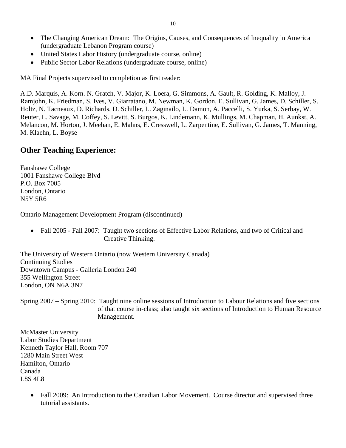- United States Labor History (undergraduate course, online)
- Public Sector Labor Relations (undergraduate course, online)

MA Final Projects supervised to completion as first reader:

A.D. Marquis, A. Korn. N. Gratch, V. Major, K. Loera, G. Simmons, A. Gault, R. Golding, K. Malloy, J. Ramjohn, K. Friedman, S. Ives, V. Giarratano, M. Newman, K. Gordon, E. Sullivan, G. James, D. Schiller, S. Holtz, N. Tacneaux, D. Richards, D. Schiller, L. Zaginailo, L. Damon, A. Paccelli, S. Yurka, S. Serbay, W. Reuter, L. Savage, M. Coffey, S. Levitt, S. Burgos, K. Lindemann, K. Mullings, M. Chapman, H. Aunkst, A. Melancon, M. Horton, J. Meehan, E. Mahns, E. Cresswell, L. Zarpentine, E. Sullivan, G. James, T. Manning, M. Klaehn, L. Boyse

#### **Other Teaching Experience:**

Fanshawe College 1001 Fanshawe College Blvd P.O. Box 7005 London, Ontario N5Y 5R6

Ontario Management Development Program (discontinued)

• Fall 2005 - Fall 2007: Taught two sections of Effective Labor Relations, and two of Critical and Creative Thinking.

The University of Western Ontario (now Western University Canada) Continuing Studies Downtown Campus - Galleria London 240 355 Wellington Street London, ON N6A 3N7

Spring 2007 – Spring 2010: Taught nine online sessions of Introduction to Labour Relations and five sections of that course in-class; also taught six sections of Introduction to Human Resource Management.

McMaster University Labor Studies Department Kenneth Taylor Hall, Room 707 1280 Main Street West Hamilton, Ontario Canada L8S 4L8

> • Fall 2009: An Introduction to the Canadian Labor Movement. Course director and supervised three tutorial assistants.